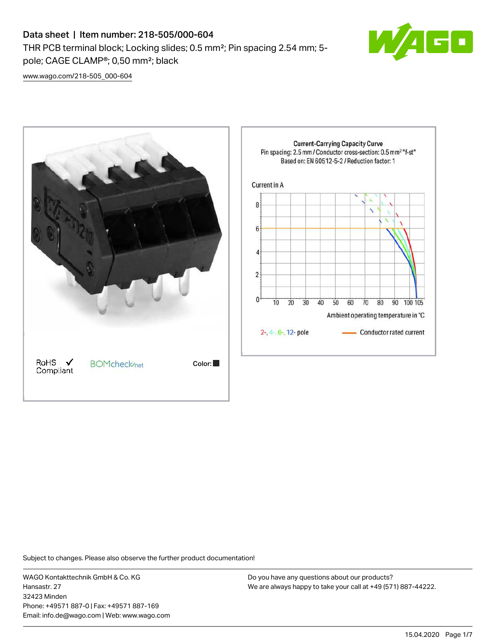# Data sheet | Item number: 218-505/000-604

THR PCB terminal block; Locking slides; 0.5 mm²; Pin spacing 2.54 mm; 5 pole; CAGE CLAMP®; 0,50 mm²; black



[www.wago.com/218-505\\_000-604](http://www.wago.com/218-505_000-604)



Subject to changes. Please also observe the further product documentation!

WAGO Kontakttechnik GmbH & Co. KG Hansastr. 27 32423 Minden Phone: +49571 887-0 | Fax: +49571 887-169 Email: info.de@wago.com | Web: www.wago.com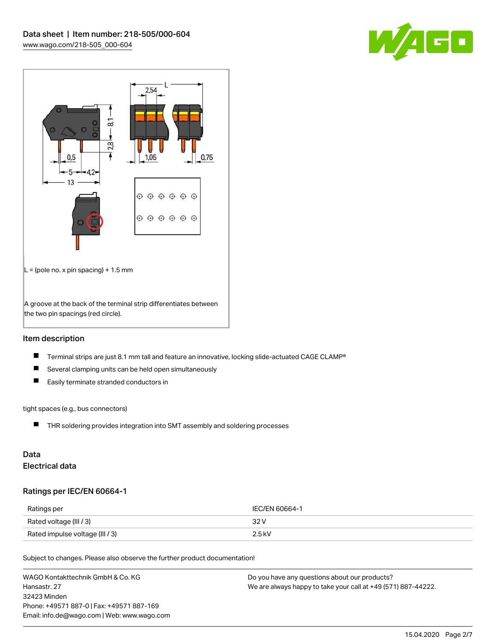



## Item description

- $\blacksquare$ Terminal strips are just 8.1 mm tall and feature an innovative, locking slide-actuated CAGE CLAMP®
- $\blacksquare$ Several clamping units can be held open simultaneously
- $\blacksquare$ Easily terminate stranded conductors in

#### tight spaces (e.g., bus connectors)

THR soldering provides integration into SMT assembly and soldering processes

## Data Electrical data

#### Ratings per IEC/EN 60664-1

| Ratings per                     | IEC/EN 60664-1 |
|---------------------------------|----------------|
| Rated voltage (III / 3)         | 32 V           |
| Rated impulse voltage (III / 3) | $2.5$ kV       |

Subject to changes. Please also observe the further product documentation!

| WAGO Kontakttechnik GmbH & Co. KG           | Do you have any questions about our products?                 |
|---------------------------------------------|---------------------------------------------------------------|
| Hansastr, 27                                | We are always happy to take your call at +49 (571) 887-44222. |
| 32423 Minden                                |                                                               |
| Phone: +49571 887-0   Fax: +49571 887-169   |                                                               |
| Email: info.de@wago.com   Web: www.wago.com |                                                               |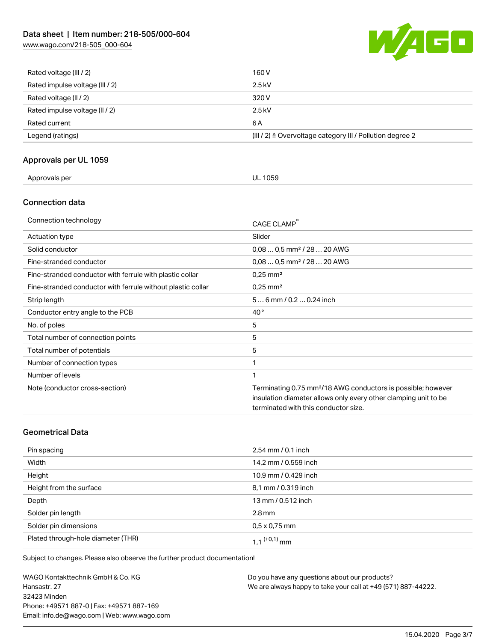# Data sheet | Item number: 218-505/000-604

[www.wago.com/218-505\\_000-604](http://www.wago.com/218-505_000-604)



| Rated voltage (III / 2)         | 160 V                                                                |
|---------------------------------|----------------------------------------------------------------------|
| Rated impulse voltage (III / 2) | $2.5$ kV                                                             |
| Rated voltage (II / 2)          | 320 V                                                                |
| Rated impulse voltage (II / 2)  | $2.5$ kV                                                             |
| Rated current                   | 6 A                                                                  |
| Legend (ratings)                | (III / 2) $\triangleq$ Overvoltage category III / Pollution degree 2 |

## Approvals per UL 1059

| Approvals per<br><b>UL 1059</b> |  |
|---------------------------------|--|
|---------------------------------|--|

## Connection data

| Connection technology                                       | CAGE CLAMP                                                                                                                                                                          |
|-------------------------------------------------------------|-------------------------------------------------------------------------------------------------------------------------------------------------------------------------------------|
| Actuation type                                              | Slider                                                                                                                                                                              |
| Solid conductor                                             | $0.080.5$ mm <sup>2</sup> / 28  20 AWG                                                                                                                                              |
| Fine-stranded conductor                                     | $0.080.5$ mm <sup>2</sup> / 28  20 AWG                                                                                                                                              |
| Fine-stranded conductor with ferrule with plastic collar    | $0.25 \text{ mm}^2$                                                                                                                                                                 |
| Fine-stranded conductor with ferrule without plastic collar | $0.25$ mm <sup>2</sup>                                                                                                                                                              |
| Strip length                                                | $56$ mm / 0.2  0.24 inch                                                                                                                                                            |
| Conductor entry angle to the PCB                            | $40^{\circ}$                                                                                                                                                                        |
| No. of poles                                                | 5                                                                                                                                                                                   |
| Total number of connection points                           | 5                                                                                                                                                                                   |
| Total number of potentials                                  | 5                                                                                                                                                                                   |
| Number of connection types                                  |                                                                                                                                                                                     |
| Number of levels                                            | 1                                                                                                                                                                                   |
| Note (conductor cross-section)                              | Terminating 0.75 mm <sup>2</sup> /18 AWG conductors is possible; however<br>insulation diameter allows only every other clamping unit to be<br>terminated with this conductor size. |

## Geometrical Data

| Pin spacing                        | 2,54 mm / 0.1 inch   |
|------------------------------------|----------------------|
| Width                              | 14,2 mm / 0.559 inch |
| Height                             | 10,9 mm / 0.429 inch |
| Height from the surface            | 8,1 mm / 0.319 inch  |
| Depth                              | 13 mm / 0.512 inch   |
| Solder pin length                  | $2.8 \,\mathrm{mm}$  |
| Solder pin dimensions              | $0.5 \times 0.75$ mm |
| Plated through-hole diameter (THR) | 1 1 $(0.1)$ mm       |

Subject to changes. Please also observe the further product documentation!

WAGO Kontakttechnik GmbH & Co. KG Hansastr. 27 32423 Minden Phone: +49571 887-0 | Fax: +49571 887-169 Email: info.de@wago.com | Web: www.wago.com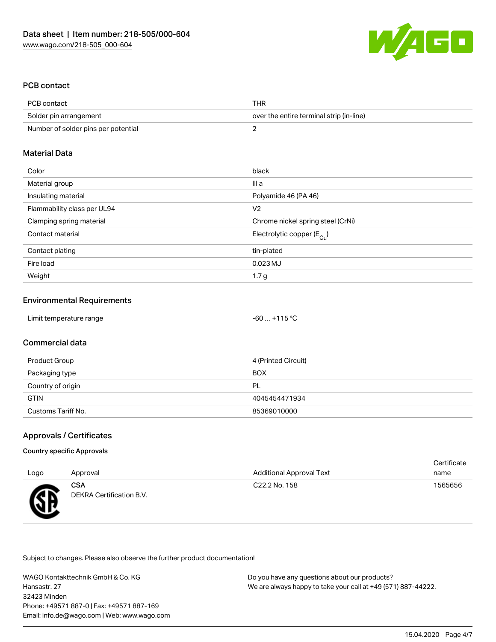

## PCB contact

| PCB contact                         | THR                                      |
|-------------------------------------|------------------------------------------|
| Solder pin arrangement              | over the entire terminal strip (in-line) |
| Number of solder pins per potential |                                          |

#### Material Data

| Color                       | black                                 |
|-----------------------------|---------------------------------------|
| Material group              | III a                                 |
| Insulating material         | Polyamide 46 (PA 46)                  |
| Flammability class per UL94 | V <sub>2</sub>                        |
| Clamping spring material    | Chrome nickel spring steel (CrNi)     |
| Contact material            | Electrolytic copper $(E_{\text{Cl}})$ |
| Contact plating             | tin-plated                            |
| Fire load                   | $0.023$ MJ                            |
| Weight                      | 1.7 <sub>g</sub>                      |

#### Environmental Requirements

| Limit temperature range | $-60+115$ °C |  |
|-------------------------|--------------|--|
|-------------------------|--------------|--|

#### Commercial data

| Product Group      | 4 (Printed Circuit) |
|--------------------|---------------------|
| Packaging type     | <b>BOX</b>          |
| Country of origin  | PL                  |
| <b>GTIN</b>        | 4045454471934       |
| Customs Tariff No. | 85369010000         |

#### Approvals / Certificates

#### Country specific Approvals

| Logo | Approval                        | <b>Additional Approval Text</b> | Certificate<br>name |
|------|---------------------------------|---------------------------------|---------------------|
| æ    | CSA<br>DEKRA Certification B.V. | C <sub>22.2</sub> No. 158       | 1565656             |

Subject to changes. Please also observe the further product documentation!

WAGO Kontakttechnik GmbH & Co. KG Hansastr. 27 32423 Minden Phone: +49571 887-0 | Fax: +49571 887-169 Email: info.de@wago.com | Web: www.wago.com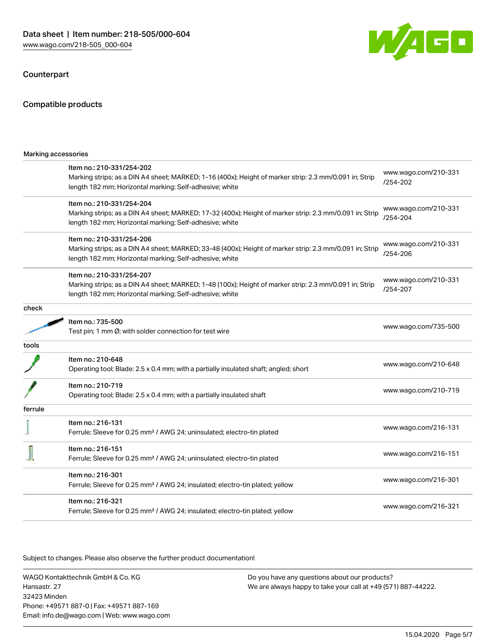#### Counterpart

#### Compatible products

| Marking accessories |                                                                                                                                                                                                 |                                  |
|---------------------|-------------------------------------------------------------------------------------------------------------------------------------------------------------------------------------------------|----------------------------------|
|                     | Item no.: 210-331/254-202<br>Marking strips; as a DIN A4 sheet; MARKED; 1-16 (400x); Height of marker strip: 2.3 mm/0.091 in; Strip<br>length 182 mm; Horizontal marking; Self-adhesive; white  | www.wago.com/210-331<br>/254-202 |
|                     | Item no.: 210-331/254-204<br>Marking strips; as a DIN A4 sheet; MARKED; 17-32 (400x); Height of marker strip: 2.3 mm/0.091 in; Strip<br>length 182 mm; Horizontal marking; Self-adhesive; white | www.wago.com/210-331<br>/254-204 |
|                     | Item no.: 210-331/254-206<br>Marking strips; as a DIN A4 sheet; MARKED; 33-48 (400x); Height of marker strip: 2.3 mm/0.091 in; Strip<br>length 182 mm; Horizontal marking; Self-adhesive; white | www.wago.com/210-331<br>/254-206 |
|                     | Item no.: 210-331/254-207<br>Marking strips; as a DIN A4 sheet; MARKED; 1-48 (100x); Height of marker strip: 2.3 mm/0.091 in; Strip<br>length 182 mm; Horizontal marking; Self-adhesive; white  | www.wago.com/210-331<br>/254-207 |
| check               |                                                                                                                                                                                                 |                                  |
|                     | Item no.: 735-500<br>Test pin; 1 mm Ø; with solder connection for test wire                                                                                                                     | www.wago.com/735-500             |
| tools               |                                                                                                                                                                                                 |                                  |
|                     | Item no.: 210-648<br>Operating tool; Blade: 2.5 x 0.4 mm; with a partially insulated shaft; angled; short                                                                                       | www.wago.com/210-648             |
|                     | Item no.: 210-719<br>Operating tool; Blade: 2.5 x 0.4 mm; with a partially insulated shaft                                                                                                      | www.wago.com/210-719             |
| ferrule             |                                                                                                                                                                                                 |                                  |
|                     | Item no.: 216-131<br>Ferrule; Sleeve for 0.25 mm <sup>2</sup> / AWG 24; uninsulated; electro-tin plated                                                                                         | www.wago.com/216-131             |
|                     | Item no.: 216-151<br>Ferrule; Sleeve for 0.25 mm <sup>2</sup> / AWG 24; uninsulated; electro-tin plated                                                                                         | www.wago.com/216-151             |
|                     | Item no.: 216-301<br>Ferrule; Sleeve for 0.25 mm <sup>2</sup> / AWG 24; insulated; electro-tin plated; yellow                                                                                   | www.wago.com/216-301             |
|                     | Item no.: 216-321<br>Ferrule; Sleeve for 0.25 mm <sup>2</sup> / AWG 24; insulated; electro-tin plated; yellow                                                                                   | www.wago.com/216-321             |

.<br>Subject to changes. Please also observe the further product documentation!

WAGO Kontakttechnik GmbH & Co. KG Hansastr. 27 32423 Minden Phone: +49571 887-0 | Fax: +49571 887-169 Email: info.de@wago.com | Web: www.wago.com

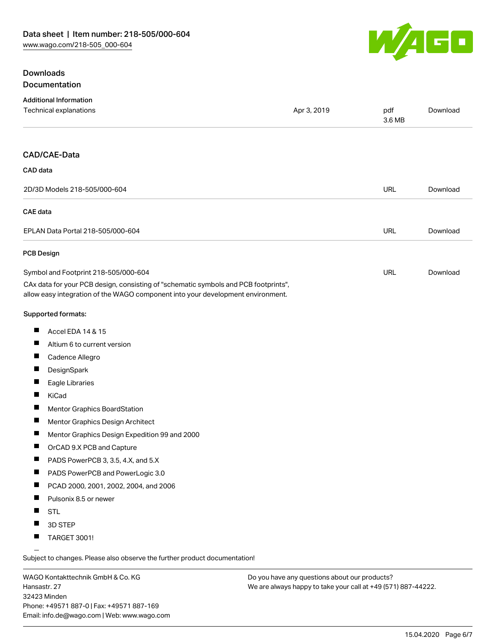

## **Downloads** Documentation

| <b>Additional Information</b><br>Technical explanations                                                                                                                | Apr 3, 2019 | pdf<br>3.6 MB | Download |
|------------------------------------------------------------------------------------------------------------------------------------------------------------------------|-------------|---------------|----------|
|                                                                                                                                                                        |             |               |          |
| CAD/CAE-Data                                                                                                                                                           |             |               |          |
| CAD data                                                                                                                                                               |             |               |          |
| 2D/3D Models 218-505/000-604                                                                                                                                           |             | <b>URL</b>    | Download |
| CAE data                                                                                                                                                               |             |               |          |
| EPLAN Data Portal 218-505/000-604                                                                                                                                      |             | <b>URL</b>    | Download |
| <b>PCB Design</b>                                                                                                                                                      |             |               |          |
| Symbol and Footprint 218-505/000-604                                                                                                                                   |             | URL           | Download |
| CAx data for your PCB design, consisting of "schematic symbols and PCB footprints",<br>allow easy integration of the WAGO component into your development environment. |             |               |          |
| Supported formats:                                                                                                                                                     |             |               |          |
| ш<br>Accel EDA 14 & 15                                                                                                                                                 |             |               |          |
| Ш<br>Altium 6 to current version                                                                                                                                       |             |               |          |
| $\overline{\phantom{a}}$<br>Cadence Allegro                                                                                                                            |             |               |          |
| $\overline{\phantom{a}}$<br>DesignSpark                                                                                                                                |             |               |          |
| Ш<br>Eagle Libraries                                                                                                                                                   |             |               |          |
| ш<br>KiCad                                                                                                                                                             |             |               |          |
| L<br>Mentor Graphics BoardStation                                                                                                                                      |             |               |          |
| L<br>Mentor Graphics Design Architect                                                                                                                                  |             |               |          |
| Mentor Graphics Design Expedition 99 and 2000                                                                                                                          |             |               |          |
| L<br>OrCAD 9.X PCB and Capture                                                                                                                                         |             |               |          |
| PADS PowerPCB 3, 3.5, 4.X, and 5.X                                                                                                                                     |             |               |          |
| п<br>PADS PowerPCB and PowerLogic 3.0                                                                                                                                  |             |               |          |
| PCAD 2000, 2001, 2002, 2004, and 2006<br>ш                                                                                                                             |             |               |          |
| $\overline{\phantom{a}}$<br>Pulsonix 8.5 or newer                                                                                                                      |             |               |          |
| ш<br><b>STL</b>                                                                                                                                                        |             |               |          |
| H<br>3D STEP                                                                                                                                                           |             |               |          |
| п<br><b>TARGET 3001!</b>                                                                                                                                               |             |               |          |

Subject to changes. Please also observe the further product documentation!

WAGO Kontakttechnik GmbH & Co. KG Hansastr. 27 32423 Minden Phone: +49571 887-0 | Fax: +49571 887-169 Email: info.de@wago.com | Web: www.wago.com